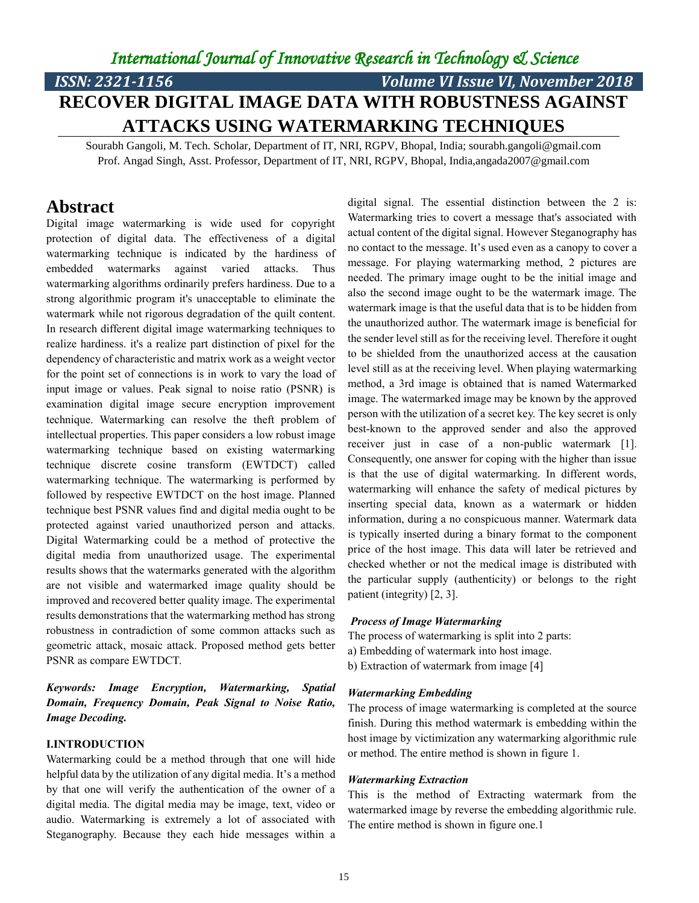## *International Journal of Innovative Research in Technology & Science*

# *ISSN: 2321-1156 Volume VI Issue VI, November 2018* **RECOVER DIGITAL IMAGE DATA WITH ROBUSTNESS AGAINST ATTACKS USING WATERMARKING TECHNIQUES**

Sourabh Gangoli, M. Tech. Scholar, Department of IT, NRI, RGPV, Bhopal, India; sourabh.gangoli@gmail.com Prof. Angad Singh, Asst. Professor, Department of IT, NRI, RGPV, Bhopal, India,angada2007@gmail.com

### **Abstract**

Digital image watermarking is wide used for copyright protection of digital data. The effectiveness of a digital watermarking technique is indicated by the hardiness of embedded watermarks against varied attacks. Thus watermarking algorithms ordinarily prefers hardiness. Due to a strong algorithmic program it's unacceptable to eliminate the watermark while not rigorous degradation of the quilt content. In research different digital image watermarking techniques to realize hardiness. it's a realize part distinction of pixel for the dependency of characteristic and matrix work as a weight vector for the point set of connections is in work to vary the load of input image or values. Peak signal to noise ratio (PSNR) is examination digital image secure encryption improvement technique. Watermarking can resolve the theft problem of intellectual properties. This paper considers a low robust image watermarking technique based on existing watermarking technique discrete cosine transform (EWTDCT) called watermarking technique. The watermarking is performed by followed by respective EWTDCT on the host image. Planned technique best PSNR values find and digital media ought to be protected against varied unauthorized person and attacks. Digital Watermarking could be a method of protective the digital media from unauthorized usage. The experimental results shows that the watermarks generated with the algorithm are not visible and watermarked image quality should be improved and recovered better quality image. The experimental results demonstrations that the watermarking method has strong robustness in contradiction of some common attacks such as geometric attack, mosaic attack. Proposed method gets better PSNR as compare EWTDCT.

*Keywords: Image Encryption, Watermarking, Spatial Domain, Frequency Domain, Peak Signal to Noise Ratio, Image Decoding.*

#### **I.INTRODUCTION**

Watermarking could be a method through that one will hide helpful data by the utilization of any digital media. It's a method by that one will verify the authentication of the owner of a digital media. The digital media may be image, text, video or audio. Watermarking is extremely a lot of associated with Steganography. Because they each hide messages within a

digital signal. The essential distinction between the 2 is: Watermarking tries to covert a message that's associated with actual content of the digital signal. However Steganography has no contact to the message. It's used even as a canopy to cover a message. For playing watermarking method, 2 pictures are needed. The primary image ought to be the initial image and also the second image ought to be the watermark image. The watermark image is that the useful data that is to be hidden from the unauthorized author. The watermark image is beneficial for the sender level still as for the receiving level. Therefore it ought to be shielded from the unauthorized access at the causation level still as at the receiving level. When playing watermarking method, a 3rd image is obtained that is named Watermarked image. The watermarked image may be known by the approved person with the utilization of a secret key. The key secret is only best-known to the approved sender and also the approved receiver just in case of a non-public watermark [1]. Consequently, one answer for coping with the higher than issue is that the use of digital watermarking. In different words, watermarking will enhance the safety of medical pictures by inserting special data, known as a watermark or hidden information, during a no conspicuous manner. Watermark data is typically inserted during a binary format to the component price of the host image. This data will later be retrieved and checked whether or not the medical image is distributed with the particular supply (authenticity) or belongs to the right patient (integrity) [2, 3].

#### *Process of Image Watermarking*

The process of watermarking is split into 2 parts:

- a) Embedding of watermark into host image.
- b) Extraction of watermark from image [4]

#### *Watermarking Embedding*

The process of image watermarking is completed at the source finish. During this method watermark is embedding within the host image by victimization any watermarking algorithmic rule or method. The entire method is shown in figure 1.

#### *Watermarking Extraction*

This is the method of Extracting watermark from the watermarked image by reverse the embedding algorithmic rule. The entire method is shown in figure one.1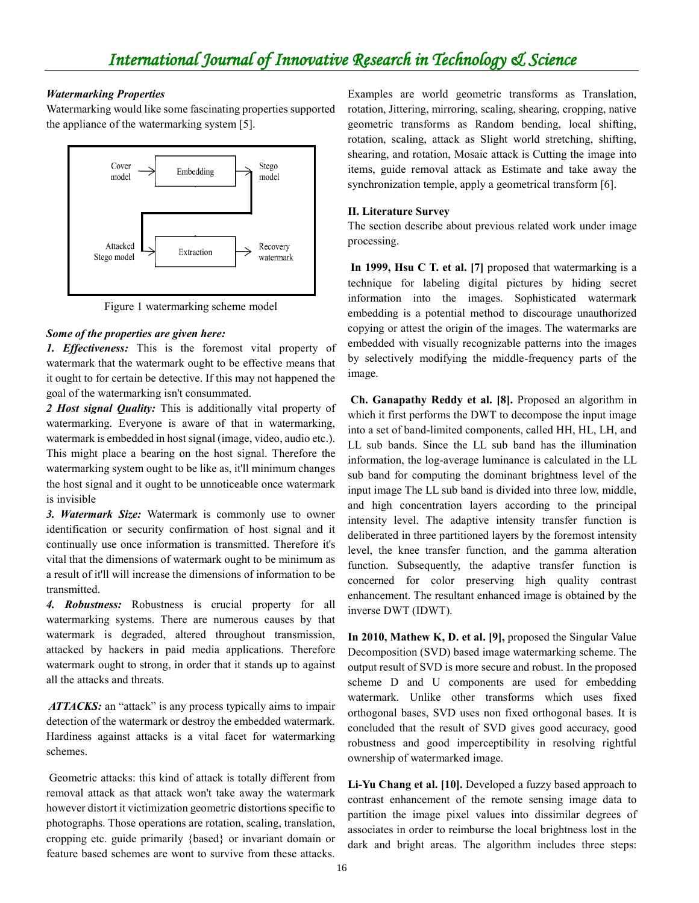#### *Watermarking Properties*

Watermarking would like some fascinating properties supported the appliance of the watermarking system [5].



Figure 1 watermarking scheme model

#### *Some of the properties are given here:*

*1. Effectiveness:* This is the foremost vital property of watermark that the watermark ought to be effective means that it ought to for certain be detective. If this may not happened the goal of the watermarking isn't consummated.

*2 Host signal Quality:* This is additionally vital property of watermarking. Everyone is aware of that in watermarking, watermark is embedded in host signal (image, video, audio etc.). This might place a bearing on the host signal. Therefore the watermarking system ought to be like as, it'll minimum changes the host signal and it ought to be unnoticeable once watermark is invisible

*3. Watermark Size:* Watermark is commonly use to owner identification or security confirmation of host signal and it continually use once information is transmitted. Therefore it's vital that the dimensions of watermark ought to be minimum as a result of it'll will increase the dimensions of information to be transmitted.

*4. Robustness:* Robustness is crucial property for all watermarking systems. There are numerous causes by that watermark is degraded, altered throughout transmission, attacked by hackers in paid media applications. Therefore watermark ought to strong, in order that it stands up to against all the attacks and threats.

*ATTACKS:* an "attack" is any process typically aims to impair detection of the watermark or destroy the embedded watermark. Hardiness against attacks is a vital facet for watermarking schemes.

Geometric attacks: this kind of attack is totally different from removal attack as that attack won't take away the watermark however distort it victimization geometric distortions specific to photographs. Those operations are rotation, scaling, translation, cropping etc. guide primarily {based} or invariant domain or feature based schemes are wont to survive from these attacks. Examples are world geometric transforms as Translation, rotation, Jittering, mirroring, scaling, shearing, cropping, native geometric transforms as Random bending, local shifting, rotation, scaling, attack as Slight world stretching, shifting, shearing, and rotation, Mosaic attack is Cutting the image into items, guide removal attack as Estimate and take away the synchronization temple, apply a geometrical transform [6].

#### **II. Literature Survey**

The section describe about previous related work under image processing.

**In 1999, Hsu C T. et al. [7]** proposed that watermarking is a technique for labeling digital pictures by hiding secret information into the images. Sophisticated watermark embedding is a potential method to discourage unauthorized copying or attest the origin of the images. The watermarks are embedded with visually recognizable patterns into the images by selectively modifying the middle-frequency parts of the image.

**Ch. Ganapathy Reddy et al. [8].** Proposed an algorithm in which it first performs the DWT to decompose the input image into a set of band-limited components, called HH, HL, LH, and LL sub bands. Since the LL sub band has the illumination information, the log-average luminance is calculated in the LL sub band for computing the dominant brightness level of the input image The LL sub band is divided into three low, middle, and high concentration layers according to the principal intensity level. The adaptive intensity transfer function is deliberated in three partitioned layers by the foremost intensity level, the knee transfer function, and the gamma alteration function. Subsequently, the adaptive transfer function is concerned for color preserving high quality contrast enhancement. The resultant enhanced image is obtained by the inverse DWT (IDWT).

**In 2010, Mathew K, D. et al. [9],** proposed the Singular Value Decomposition (SVD) based image watermarking scheme. The output result of SVD is more secure and robust. In the proposed scheme D and U components are used for embedding watermark. Unlike other transforms which uses fixed orthogonal bases, SVD uses non fixed orthogonal bases. It is concluded that the result of SVD gives good accuracy, good robustness and good imperceptibility in resolving rightful ownership of watermarked image.

**Li-Yu Chang et al. [10].** Developed a fuzzy based approach to contrast enhancement of the remote sensing image data to partition the image pixel values into dissimilar degrees of associates in order to reimburse the local brightness lost in the dark and bright areas. The algorithm includes three steps: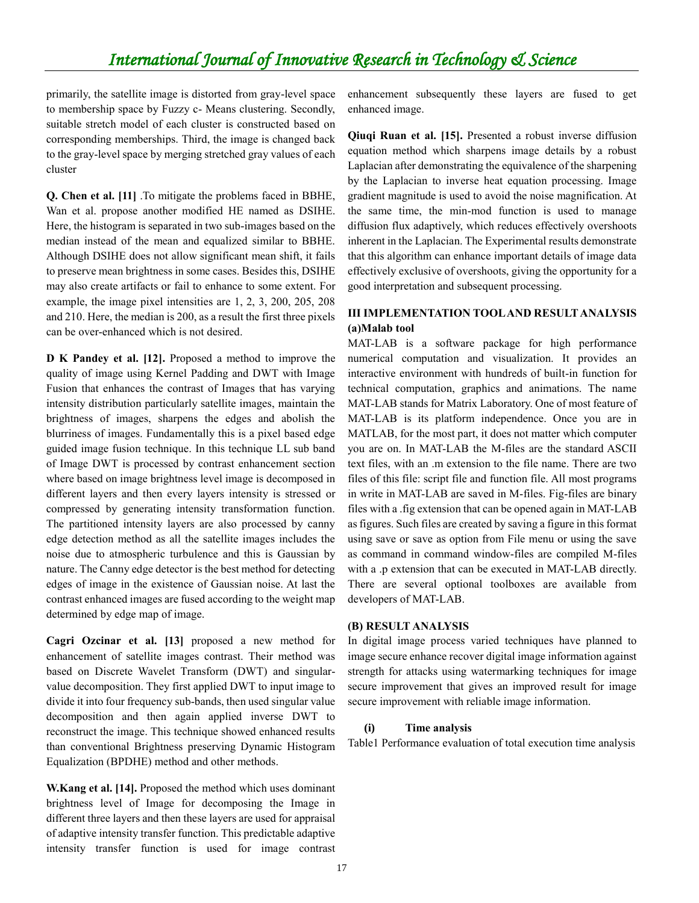primarily, the satellite image is distorted from gray-level space to membership space by Fuzzy c- Means clustering. Secondly, suitable stretch model of each cluster is constructed based on corresponding memberships. Third, the image is changed back to the gray-level space by merging stretched gray values of each cluster

**Q. Chen et al. [11]** .To mitigate the problems faced in BBHE, Wan et al. propose another modified HE named as DSIHE. Here, the histogram is separated in two sub-images based on the median instead of the mean and equalized similar to BBHE. Although DSIHE does not allow significant mean shift, it fails to preserve mean brightness in some cases. Besides this, DSIHE may also create artifacts or fail to enhance to some extent. For example, the image pixel intensities are 1, 2, 3, 200, 205, 208 and 210. Here, the median is 200, as a result the first three pixels can be over-enhanced which is not desired.

**D K Pandey et al. [12].** Proposed a method to improve the quality of image using Kernel Padding and DWT with Image Fusion that enhances the contrast of Images that has varying intensity distribution particularly satellite images, maintain the brightness of images, sharpens the edges and abolish the blurriness of images. Fundamentally this is a pixel based edge guided image fusion technique. In this technique LL sub band of Image DWT is processed by contrast enhancement section where based on image brightness level image is decomposed in different layers and then every layers intensity is stressed or compressed by generating intensity transformation function. The partitioned intensity layers are also processed by canny edge detection method as all the satellite images includes the noise due to atmospheric turbulence and this is Gaussian by nature. The Canny edge detector is the best method for detecting edges of image in the existence of Gaussian noise. At last the contrast enhanced images are fused according to the weight map determined by edge map of image.

**Cagri Ozcinar et al. [13]** proposed a new method for enhancement of satellite images contrast. Their method was based on Discrete Wavelet Transform (DWT) and singularvalue decomposition. They first applied DWT to input image to divide it into four frequency sub-bands, then used singular value decomposition and then again applied inverse DWT to reconstruct the image. This technique showed enhanced results than conventional Brightness preserving Dynamic Histogram Equalization (BPDHE) method and other methods.

**W.Kang et al. [14].** Proposed the method which uses dominant brightness level of Image for decomposing the Image in different three layers and then these layers are used for appraisal of adaptive intensity transfer function. This predictable adaptive intensity transfer function is used for image contrast

enhancement subsequently these layers are fused to get enhanced image.

**Qiuqi Ruan et al. [15].** Presented a robust inverse diffusion equation method which sharpens image details by a robust Laplacian after demonstrating the equivalence of the sharpening by the Laplacian to inverse heat equation processing. Image gradient magnitude is used to avoid the noise magnification. At the same time, the min-mod function is used to manage diffusion flux adaptively, which reduces effectively overshoots inherent in the Laplacian. The Experimental results demonstrate that this algorithm can enhance important details of image data effectively exclusive of overshoots, giving the opportunity for a good interpretation and subsequent processing.

#### **III IMPLEMENTATION TOOL AND RESULT ANALYSIS (a)Malab tool**

MAT-LAB is a software package for high performance numerical computation and visualization. It provides an interactive environment with hundreds of built-in function for technical computation, graphics and animations. The name MAT-LAB stands for Matrix Laboratory. One of most feature of MAT-LAB is its platform independence. Once you are in MATLAB, for the most part, it does not matter which computer you are on. In MAT-LAB the M-files are the standard ASCII text files, with an .m extension to the file name. There are two files of this file: script file and function file. All most programs in write in MAT-LAB are saved in M-files. Fig-files are binary files with a .fig extension that can be opened again in MAT-LAB as figures. Such files are created by saving a figure in this format using save or save as option from File menu or using the save as command in command window-files are compiled M-files with a .p extension that can be executed in MAT-LAB directly. There are several optional toolboxes are available from developers of MAT-LAB.

#### **(B) RESULT ANALYSIS**

In digital image process varied techniques have planned to image secure enhance recover digital image information against strength for attacks using watermarking techniques for image secure improvement that gives an improved result for image secure improvement with reliable image information.

#### **(i) Time analysis**

Table1 Performance evaluation of total execution time analysis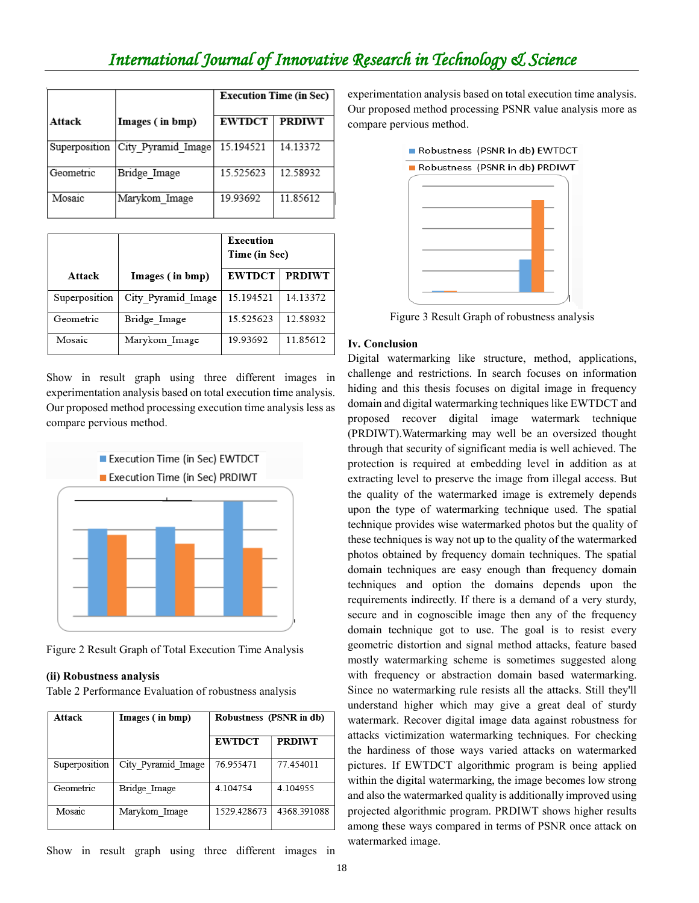# *International Journal of Innovative Research in Technology & Science*

|               |                    | <b>Execution Time (in Sec)</b> |               |
|---------------|--------------------|--------------------------------|---------------|
| Attack        | Images (in bmp)    | <b>EWTDCT</b>                  | <b>PRDIWT</b> |
| Superposition | City Pyramid Image | 15.194521                      | 14.13372      |
| Geometric     | Bridge Image       | 15.525623                      | 12.58932      |
| Mosaic        | Marykom Image      | 19.93692                       | 11.85612      |

|               |                    | Execution<br>Time (in Sec) |               |
|---------------|--------------------|----------------------------|---------------|
| Attack        | Images (in bmp)    | <b>EWTDCT</b>              | <b>PRDIWT</b> |
| Superposition | City Pyramid Image | 15.194521                  | 14.13372      |
| Geometric     | Bridge Image       | 15.525623                  | 12.58932      |
| Mosaic        | Marykom Image      | 19.93692                   | 11.85612      |

Show in result graph using three different images in experimentation analysis based on total execution time analysis. Our proposed method processing execution time analysis less as compare pervious method.



Figure 2 Result Graph of Total Execution Time Analysis

#### **(ii) Robustness analysis**

Table 2 Performance Evaluation of robustness analysis

| Attack        | Images (in bmp)    | Robustness (PSNR in db) |               |
|---------------|--------------------|-------------------------|---------------|
|               |                    | <b>EWTDCT</b>           | <b>PRDIWT</b> |
| Superposition | City Pyramid Image | 76 955471               | 77454011      |
| Geometric     | Bridge Image       | 4.104754                | 4.104955      |
| Mosaic        | Marykom Image      | 1529 428673             | 4368.391088   |

Show in result graph using three different images in

experimentation analysis based on total execution time analysis. Our proposed method processing PSNR value analysis more as compare pervious method.



Figure 3 Result Graph of robustness analysis

#### **Iv. Conclusion**

Digital watermarking like structure, method, applications, challenge and restrictions. In search focuses on information hiding and this thesis focuses on digital image in frequency domain and digital watermarking techniques like EWTDCT and proposed recover digital image watermark technique (PRDIWT).Watermarking may well be an oversized thought through that security of significant media is well achieved. The protection is required at embedding level in addition as at extracting level to preserve the image from illegal access. But the quality of the watermarked image is extremely depends upon the type of watermarking technique used. The spatial technique provides wise watermarked photos but the quality of these techniques is way not up to the quality of the watermarked photos obtained by frequency domain techniques. The spatial domain techniques are easy enough than frequency domain techniques and option the domains depends upon the requirements indirectly. If there is a demand of a very sturdy, secure and in cognoscible image then any of the frequency domain technique got to use. The goal is to resist every geometric distortion and signal method attacks, feature based mostly watermarking scheme is sometimes suggested along with frequency or abstraction domain based watermarking. Since no watermarking rule resists all the attacks. Still they'll understand higher which may give a great deal of sturdy watermark. Recover digital image data against robustness for attacks victimization watermarking techniques. For checking the hardiness of those ways varied attacks on watermarked pictures. If EWTDCT algorithmic program is being applied within the digital watermarking, the image becomes low strong and also the watermarked quality is additionally improved using projected algorithmic program. PRDIWT shows higher results among these ways compared in terms of PSNR once attack on watermarked image.